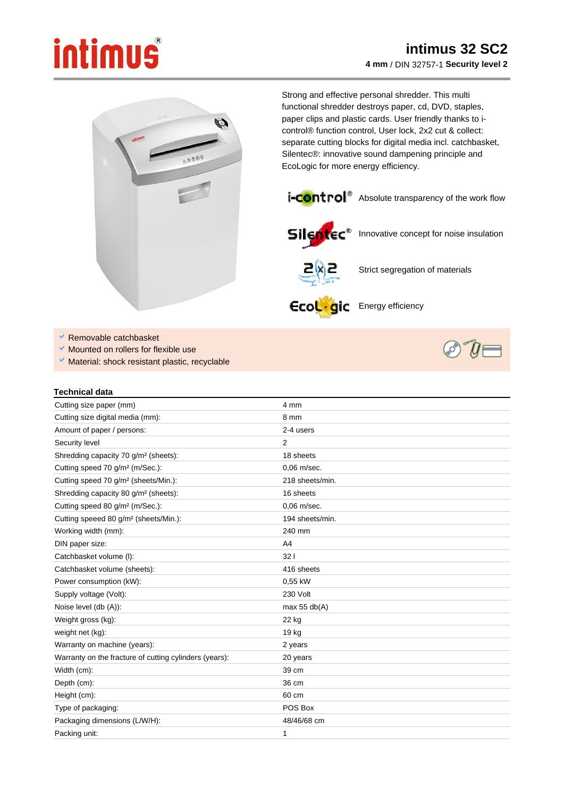## intimus



Strong and effective personal shredder. This multi functional shredder destroys paper, cd, DVD, staples, paper clips and plastic cards. User friendly thanks to icontrol® function control, User lock, 2x2 cut & collect: separate cutting blocks for digital media incl. catchbasket, Silentec®: innovative sound dampening principle and EcoLogic for more energy efficiency.





Silentec<sup>\*</sup> Innovative concept for noise insulation



Strict segregation of materials

Ecol . gic Energy efficiency

- Removable catchbasket
- Mounted on rollers for flexible use
- V Material: shock resistant plastic, recyclable



## **Technical data**

| Cutting size paper (mm)                                | 4 mm            |
|--------------------------------------------------------|-----------------|
| Cutting size digital media (mm):                       | 8 mm            |
| Amount of paper / persons:                             | 2-4 users       |
| Security level                                         | 2               |
| Shredding capacity 70 g/m <sup>2</sup> (sheets):       | 18 sheets       |
| Cutting speed 70 g/m <sup>2</sup> (m/Sec.):            | 0.06 m/sec.     |
| Cutting speed 70 g/m <sup>2</sup> (sheets/Min.):       | 218 sheets/min. |
| Shredding capacity 80 g/m <sup>2</sup> (sheets):       | 16 sheets       |
| Cutting speed 80 g/m <sup>2</sup> (m/Sec.):            | 0.06 m/sec.     |
| Cutting speeed 80 g/m <sup>2</sup> (sheets/Min.):      | 194 sheets/min. |
| Working width (mm):                                    | 240 mm          |
| DIN paper size:                                        | A4              |
| Catchbasket volume (I):                                | 321             |
| Catchbasket volume (sheets):                           | 416 sheets      |
| Power consumption (kW):                                | 0,55 kW         |
| Supply voltage (Volt):                                 | 230 Volt        |
| Noise level (db (A)):                                  | max $55$ db(A)  |
| Weight gross (kg):                                     | 22 kg           |
| weight net (kg):                                       | 19 kg           |
| Warranty on machine (years):                           | 2 years         |
| Warranty on the fracture of cutting cylinders (years): | 20 years        |
| Width (cm):                                            | 39 cm           |
| Depth (cm):                                            | 36 cm           |
| Height (cm):                                           | 60 cm           |
| Type of packaging:                                     | POS Box         |
| Packaging dimensions (L/W/H):                          | 48/46/68 cm     |
| Packing unit:                                          | 1               |